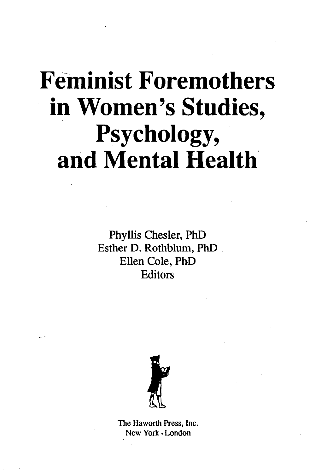## **Feminist Foremothers in Women's Studies, Psychology, and Mental Health**

Phyllis Chesler, PhD Esther D. Rothblum, PhD Ellen Cole, PhD **Editors** 



The Haworth Press, Inc. New York • London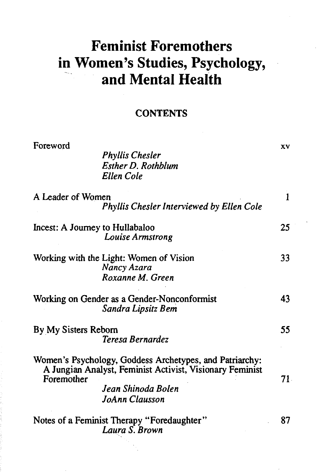## **Feminist Foremothers in Women's Studies, Psychology, and Mental Health**

## **CONTENTS**

| Foreword                                                     | <b>Phyllis Chesler</b><br><b>Esther D. Rothblum</b><br><b>Ellen Cole</b>                                                                                    | XV           |
|--------------------------------------------------------------|-------------------------------------------------------------------------------------------------------------------------------------------------------------|--------------|
| A Leader of Women                                            | <b>Phyllis Chesler Interviewed by Ellen Cole</b>                                                                                                            | $\mathbf{1}$ |
| Incest: A Journey to Hullabaloo                              | Louise Armstrong                                                                                                                                            | 25           |
|                                                              | Working with the Light: Women of Vision<br>Nancy Azara<br>Roxanne M. Green                                                                                  | 33           |
|                                                              | Working on Gender as a Gender-Nonconformist<br>Sandra Lipsitz Bem                                                                                           | 43           |
| By My Sisters Reborn                                         | Teresa Bernardez                                                                                                                                            | 55           |
| Foremother                                                   | Women's Psychology, Goddess Archetypes, and Patriarchy:<br>A Jungian Analyst, Feminist Activist, Visionary Feminist<br>Jean Shinoda Bolen<br>JoAnn Clausson | 71.          |
| Notes of a Feminist Therapy "Foredaughter"<br>Laura S. Brown |                                                                                                                                                             | 87           |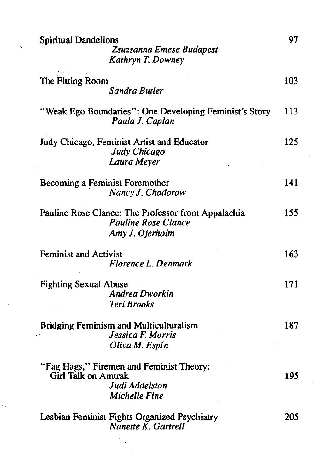| <b>Spiritual Dandelions</b><br>Zsuzsanna Emese Budapest<br>Kathryn T. Downey                              | 97  |
|-----------------------------------------------------------------------------------------------------------|-----|
| The Fitting Room<br><b>Sandra Butler</b>                                                                  | 103 |
| "Weak Ego Boundaries": One Developing Feminist's Story<br>Paula J. Caplan                                 | 113 |
| Judy Chicago, Feminist Artist and Educator<br>Judy Chicago<br>Laura Meyer                                 | 125 |
| Becoming a Feminist Foremother<br>Nancy J. Chodorow                                                       | 141 |
| Pauline Rose Clance: The Professor from Appalachia<br><b>Pauline Rose Clance</b><br>Amy J. Ojerholm       | 155 |
| <b>Feminist and Activist</b><br>Florence L. Denmark                                                       | 163 |
| <b>Fighting Sexual Abuse</b><br><b>Andrea Dworkin</b><br><b>Teri Brooks</b>                               | 171 |
| <b>Bridging Feminism and Multiculturalism</b><br>Jessica F. Morris<br>Oliva M. Espín                      | 187 |
| "Fag Hags," Firemen and Feminist Theory:<br>Girl Talk on Amtrak<br>Judi Addelston<br><b>Michelle Fine</b> | 195 |
| Lesbian Feminist Fights Organized Psychiatry<br>Nanette K. Gartrell                                       | 205 |

 $\mathcal{S}^{\text{max}}_{\text{max}}$ 

 $\bar{\zeta}$ 

k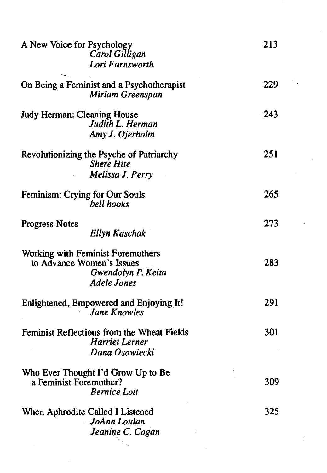| A New Voice for Psychology     | Carol Gilligan<br>Lori Farnsworth                                                     | 213 |
|--------------------------------|---------------------------------------------------------------------------------------|-----|
|                                | On Being a Feminist and a Psychotherapist<br>Miriam Greenspan                         | 229 |
| Judy Herman: Cleaning House    | Judith L. Herman<br>Amy J. Ojerholm                                                   | 243 |
|                                | Revolutionizing the Psyche of Patriarchy<br><b>Shere Hite</b><br>Melissa J. Perry     | 251 |
| Feminism: Crying for Our Souls | bell hooks                                                                            | 265 |
| <b>Progress Notes</b>          | Ellyn Kaschak                                                                         | 273 |
| to Advance Women's Issues      | Working with Feminist Foremothers<br>Gwendolyn P. Keita<br><b>Adele Jones</b>         | 283 |
|                                | Enlightened, Empowered and Enjoying It!<br><b>Jane Knowles</b>                        | 291 |
|                                | Feminist Reflections from the Wheat Fields<br><b>Harriet Lerner</b><br>Dana Osowiecki | 301 |
| a Feminist Foremother?         | Who Ever Thought I'd Grow Up to Be<br><b>Bernice Lott</b>                             | 309 |
|                                | When Aphrodite Called I Listened<br>JoAnn Loulan<br>Jeanine C. Cogan                  | 325 |

 $\mathcal{O}(\mathcal{E}_{\text{max}})$ 

 $\mathcal{L}^{\text{max}}_{\text{max}}$  ,  $\mathcal{L}^{\text{max}}_{\text{max}}$ 

 $\mathcal{L}^{\text{max}}_{\text{max}}$ 

 $\mathcal{O}(\mathcal{O}_\mathcal{O})$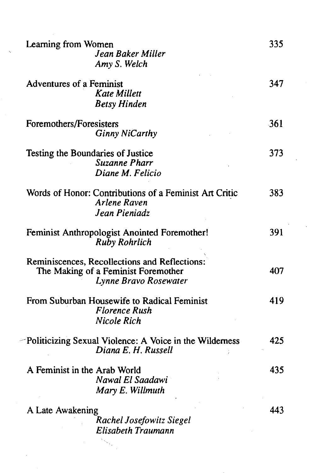| Learning from Women<br>Jean Baker Miller<br>Amy S. Welch                                                      | 335 |
|---------------------------------------------------------------------------------------------------------------|-----|
| Adventures of a Feminist<br>Kate Millett<br><b>Betsy Hinden</b>                                               | 347 |
| Foremothers/Foresisters<br><b>Ginny NiCarthy</b>                                                              | 361 |
| Testing the Boundaries of Justice<br><b>Suzanne Pharr</b><br>Diane M. Felicio                                 | 373 |
| Words of Honor: Contributions of a Feminist Art Critic<br><b>Arlene Raven</b><br>Jean Pieniadz                | 383 |
| Feminist Anthropologist Anointed Foremother!<br><b>Ruby Rohrlich</b>                                          | 391 |
| Reminiscences, Recollections and Reflections:<br>The Making of a Feminist Foremother<br>Lynne Bravo Rosewater | 407 |
| From Suburban Housewife to Radical Feminist<br><b>Florence Rush</b><br>Nicole Rich                            | 419 |
| -Politicizing Sexual Violence: A Voice in the Wilderness<br>Diana E. H. Russell                               | 425 |
| A Feminist in the Arab World<br>Nawal El Saadawi<br>Mary E. Willmuth                                          | 435 |
| A Late Awakening<br>Rachel Josefowitz Siegel<br>Elisabeth Traumann                                            | 443 |

 $\Delta \sim 10^7$ 

 $\zeta_{\rm{eff}}$  $\hat{\mathcal{A}}$